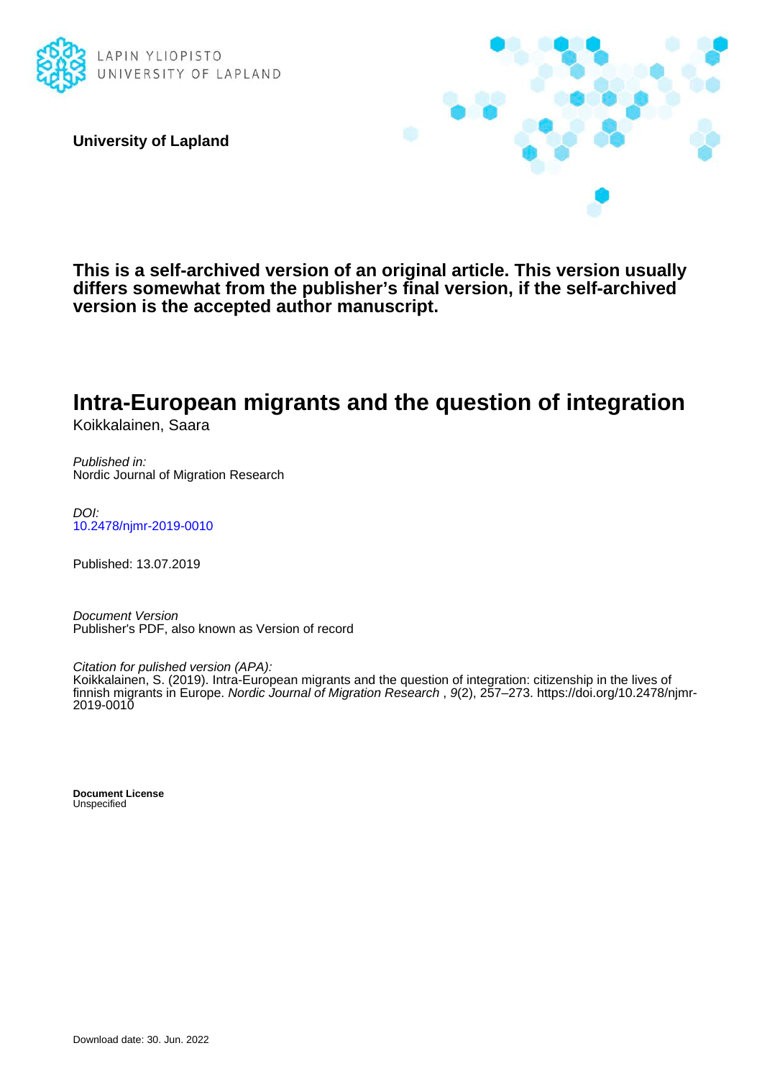

**University of Lapland**



**This is a self-archived version of an original article. This version usually differs somewhat from the publisher's final version, if the self-archived version is the accepted author manuscript.**

# **Intra-European migrants and the question of integration**

Koikkalainen, Saara

Published in: Nordic Journal of Migration Research

DOI: [10.2478/njmr-2019-0010](https://doi.org/10.2478/njmr-2019-0010)

Published: 13.07.2019

Document Version Publisher's PDF, also known as Version of record

Citation for pulished version (APA):

Koikkalainen, S. (2019). Intra-European migrants and the question of integration: citizenship in the lives of finnish migrants in Europe. Nordic Journal of Migration Research, 9(2), 257-273. [https://doi.org/10.2478/njmr-](https://doi.org/10.2478/njmr-2019-0010)[2019-0010](https://doi.org/10.2478/njmr-2019-0010)

**Document License** Unspecified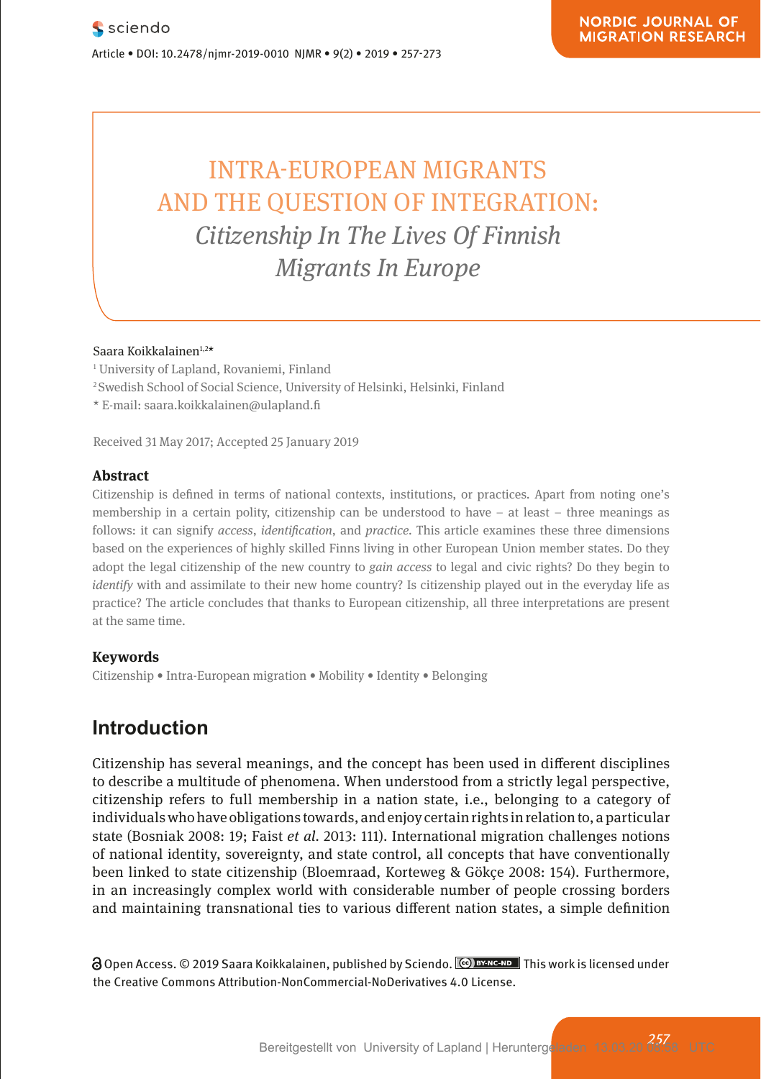# | INTRA-EUROPEAN MIGRANTS **AND THE QUESTION OF INTEGRATION: Neuroen** *Citizenship In The Lives Of Finnish Migrants In Europe*

### Saara Koikkalainen<sup>1,2\*</sup>

- <sup>1</sup> University of Lapland, Rovaniemi, Finland<br>Pharmacologische und mentale Selbstveränderung im der Anti-Selbstveränderung im den Selbstveränderung im den
	- <sup>2</sup> Swedish School of Social Science, University of Helsinki, Helsinki, Finland

**Pharmacological and Mental Self-transformation in Ethic** 

wedish School of Social Science, oniver<br>\* E-mail: saara.koikkalainen@ulapland.fi

Received 31 May 2017; Accepted 25 January 2019

#### **Abstract**

Research Article

Citizenship is defined in terms of national contexts, institutions, or practices. Apart from noting one's membership in a certain polity, citizenship can be understood to have  $-$  at least  $-$  three meanings as follows: it can signify *access*, *identification*, and *practice*. This article examines these three dimensions in a reference to the arguments developed are main investigation and the main investigation and the main inve based on the experiences of highly skilled Finns living in other European Union member states. Do they adopt the legal citizenship of the new country to *gain access* to legal and civic rights? Do they begin to and the presentation in its current of the new country to *gain access* to legal and civic rights? Do they begin t *identify* with and assimilate to their new home country? Is citizenship played out in the everyday life as practice? The article concludes that thanks to European citizenship, all three interpretations are present and the computing at the same time.

#### **Keywords**

Journal xyz 2017; 1 (2): 122–135

Citizenship • Intra-European migration • Mobility • Identity • Belonging

# **Introduction**

Citizenship has several meanings, and the concept has been used in different disciplines to describe a multitude of phenomena. When understood from a strictly legal perspective, citizenship refers to full membership in a nation state, i.e., belonging to a category of current version. individuals who have obligations towards, and enjoy certain rights in relation to, a particular state (Bosniak 2008: 19; Faist *et al.* 2013: 111). International migration challenges notions of national identity, sovereignty, and state control, all concepts that have conventionally been linked to state citizenship (Bloemraad, Korteweg & Gökçe 2008: 154). Furthermore, in an increasingly complex world with considerable number of people crossing borders and maintaining transnational ties to various different nation states, a simple definition

 $\Theta$  Open Access. © 2019 Saara Koikkalainen, published by Sciendo.  $\degree$  Exacapa This work is licensed under the Creative Commons Attribution-NonCommercial-NoDerivatives 4.0 License.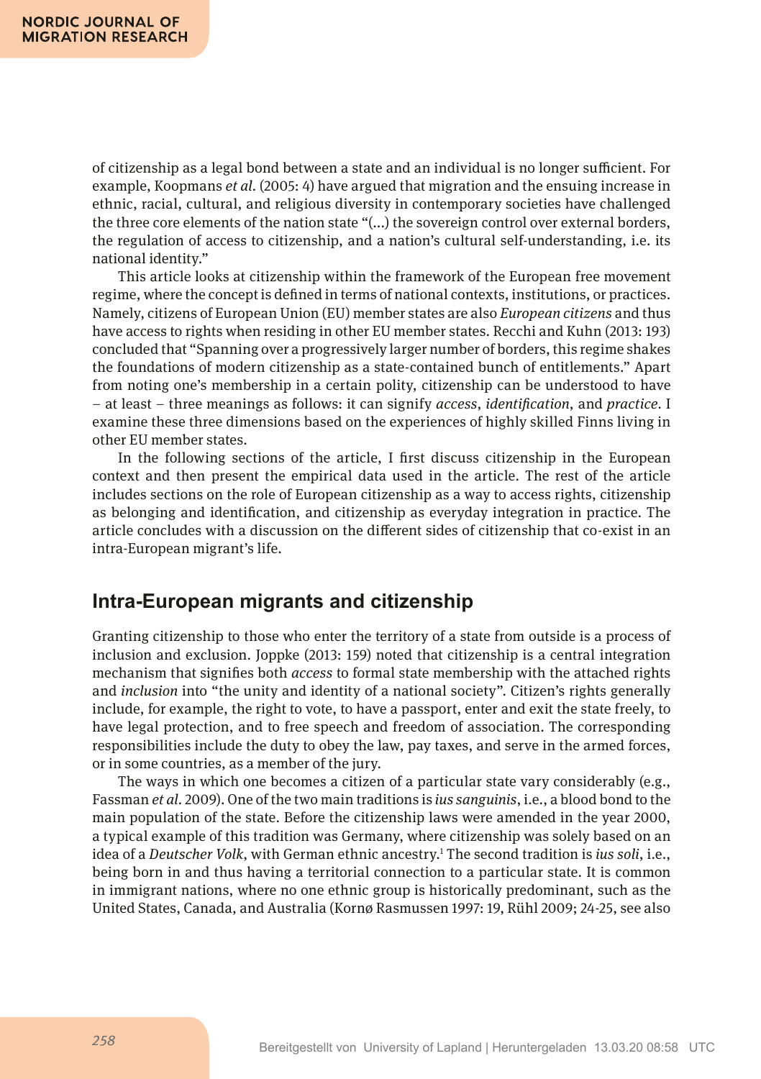of citizenship as a legal bond between a state and an individual is no longer sufcient. For example, Koopmans *et al.* (2005: 4) have argued that migration and the ensuing increase in ethnic, racial, cultural, and religious diversity in contemporary societies have challenged the three core elements of the nation state "(...) the sovereign control over external borders, the regulation of access to citizenship, and a nation's cultural self-understanding, i.e. its national identity."

This article looks at citizenship within the framework of the European free movement regime, where the concept is defned in terms of national contexts, institutions, or practices. Namely, citizens of European Union (EU) member states are also *European citizens* and thus have access to rights when residing in other EU member states. Recchi and Kuhn (2013: 193) concluded that "Spanning over a progressively larger number of borders, this regime shakes the foundations of modern citizenship as a state-contained bunch of entitlements." Apart from noting one's membership in a certain polity, citizenship can be understood to have – at least – three meanings as follows: it can signify *access*, *identifcation*, and *practice.* I examine these three dimensions based on the experiences of highly skilled Finns living in other EU member states.

In the following sections of the article, I frst discuss citizenship in the European context and then present the empirical data used in the article. The rest of the article includes sections on the role of European citizenship as a way to access rights, citizenship as belonging and identifcation, and citizenship as everyday integration in practice. The article concludes with a discussion on the diferent sides of citizenship that co-exist in an intra-European migrant's life.

# **Intra-European migrants and citizenship**

Granting citizenship to those who enter the territory of a state from outside is a process of inclusion and exclusion. Joppke (2013: 159) noted that citizenship is a central integration mechanism that signifes both *access* to formal state membership with the attached rights and *inclusion* into "the unity and identity of a national society". Citizen's rights generally include, for example, the right to vote, to have a passport, enter and exit the state freely, to have legal protection, and to free speech and freedom of association. The corresponding responsibilities include the duty to obey the law, pay taxes, and serve in the armed forces, or in some countries, as a member of the jury.

The ways in which one becomes a citizen of a particular state vary considerably (e.g., Fassman *et al.* 2009). One of the two main traditions is *ius sanguinis*, i.e., a blood bond to the main population of the state. Before the citizenship laws were amended in the year 2000, a typical example of this tradition was Germany, where citizenship was solely based on an idea of a *Deutscher Volk*, with German ethnic ancestry.1 The second tradition is *ius soli*, i.e., being born in and thus having a territorial connection to a particular state. It is common in immigrant nations, where no one ethnic group is historically predominant, such as the United States, Canada, and Australia (Kornø Rasmussen 1997: 19, Rühl 2009; 24-25, see also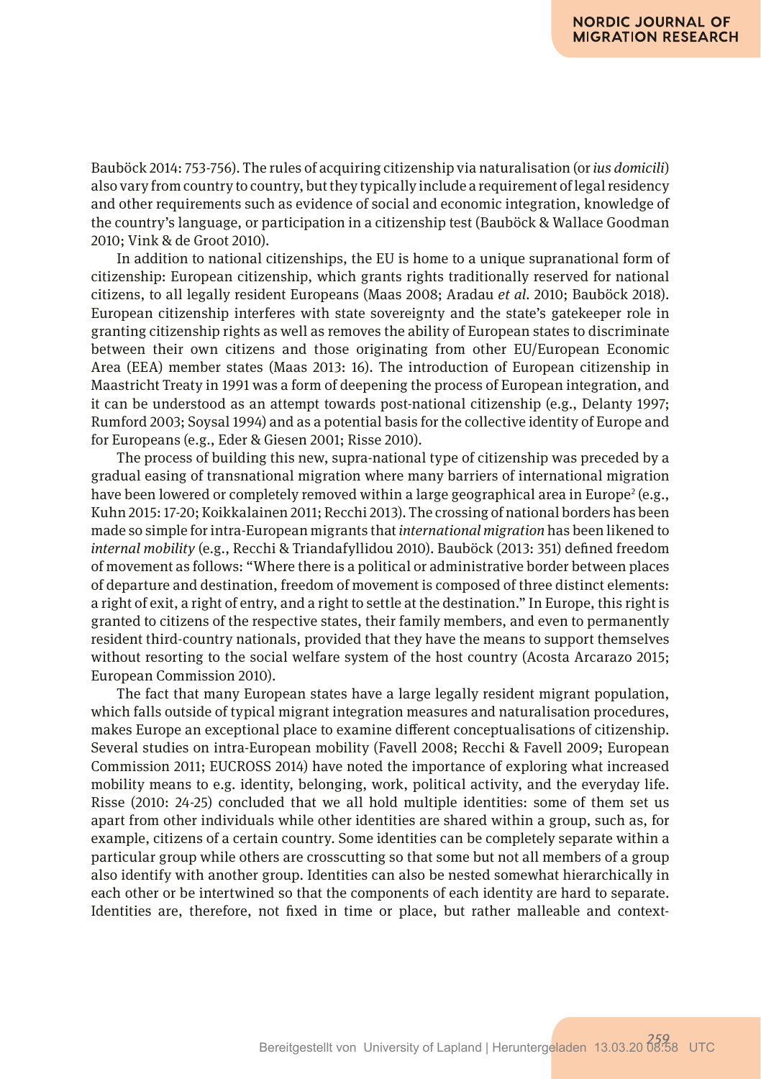Bauböck 2014: 753-756). The rules of acquiring citizenship via naturalisation (or *ius domicili*) also vary from country to country, but they typically include a requirement of legal residency and other requirements such as evidence of social and economic integration, knowledge of the country's language, or participation in a citizenship test (Bauböck & Wallace Goodman 2010; Vink & de Groot 2010).

In addition to national citizenships, the EU is home to a unique supranational form of citizenship: European citizenship, which grants rights traditionally reserved for national citizens, to all legally resident Europeans (Maas 2008; Aradau *et al.* 2010; Bauböck 2018). European citizenship interferes with state sovereignty and the state's gatekeeper role in granting citizenship rights as well as removes the ability of European states to discriminate between their own citizens and those originating from other EU/European Economic Area (EEA) member states (Maas 2013: 16). The introduction of European citizenship in Maastricht Treaty in 1991 was a form of deepening the process of European integration, and it can be understood as an attempt towards post-national citizenship (e.g., Delanty 1997; Rumford 2003; Soysal 1994) and as a potential basis for the collective identity of Europe and for Europeans (e.g., Eder & Giesen 2001; Risse 2010).

The process of building this new, supra-national type of citizenship was preceded by a gradual easing of transnational migration where many barriers of international migration have been lowered or completely removed within a large geographical area in Europe<sup>2</sup> (e.g., Kuhn 2015: 17-20; Koikkalainen 2011; Recchi 2013). The crossing of national borders has been made so simple for intra-European migrants that *international migration* has been likened to *internal mobility* (e.g., Recchi & Triandafyllidou 2010). Bauböck (2013: 351) defned freedom of movement as follows: "Where there is a political or administrative border between places of departure and destination, freedom of movement is composed of three distinct elements: a right of exit, a right of entry, and a right to settle at the destination." In Europe, this right is granted to citizens of the respective states, their family members, and even to permanently resident third-country nationals, provided that they have the means to support themselves without resorting to the social welfare system of the host country (Acosta Arcarazo 2015; European Commission 2010).

The fact that many European states have a large legally resident migrant population, which falls outside of typical migrant integration measures and naturalisation procedures, makes Europe an exceptional place to examine diferent conceptualisations of citizenship. Several studies on intra-European mobility (Favell 2008; Recchi & Favell 2009; European Commission 2011; EUCROSS 2014) have noted the importance of exploring what increased mobility means to e.g. identity, belonging, work, political activity, and the everyday life. Risse (2010: 24-25) concluded that we all hold multiple identities: some of them set us apart from other individuals while other identities are shared within a group, such as, for example, citizens of a certain country. Some identities can be completely separate within a particular group while others are crosscutting so that some but not all members of a group also identify with another group. Identities can also be nested somewhat hierarchically in each other or be intertwined so that the components of each identity are hard to separate. Identities are, therefore, not fxed in time or place, but rather malleable and context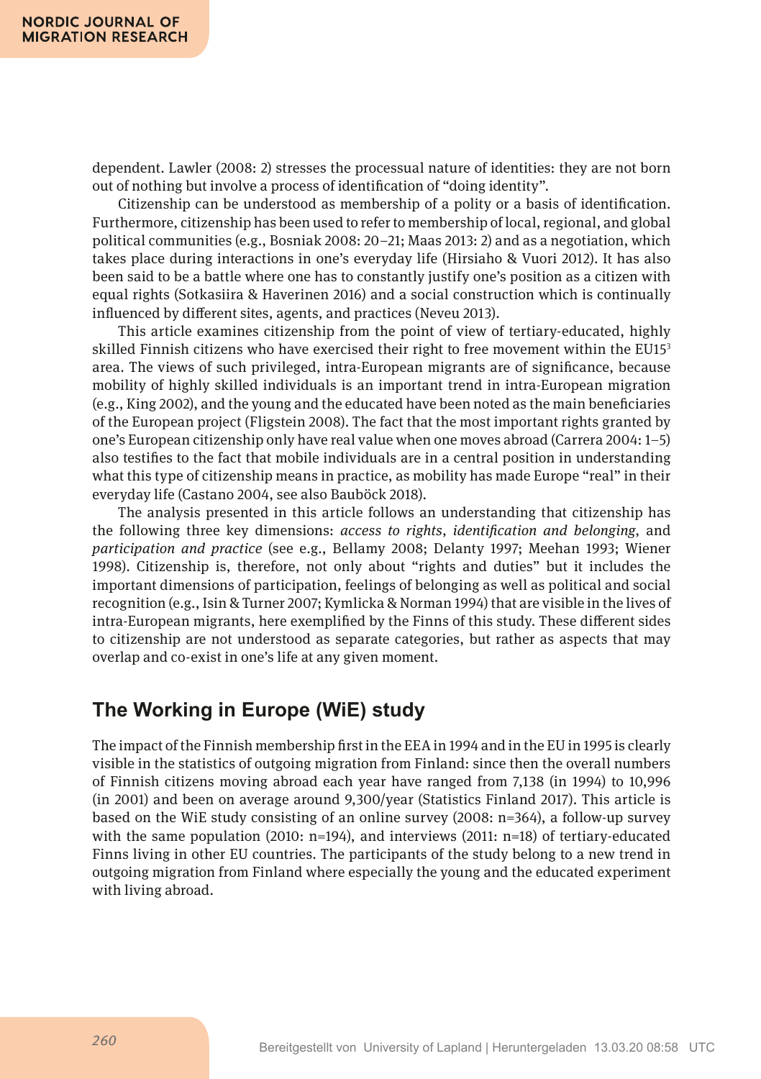dependent. Lawler (2008: 2) stresses the processual nature of identities: they are not born out of nothing but involve a process of identifcation of "doing identity".

Citizenship can be understood as membership of a polity or a basis of identifcation. Furthermore, citizenship has been used to refer to membership of local, regional, and global political communities (e.g., Bosniak 2008: 20–21; Maas 2013: 2) and as a negotiation, which takes place during interactions in one's everyday life (Hirsiaho & Vuori 2012). It has also been said to be a battle where one has to constantly justify one's position as a citizen with equal rights (Sotkasiira & Haverinen 2016) and a social construction which is continually infuenced by diferent sites, agents, and practices (Neveu 2013).

This article examines citizenship from the point of view of tertiary-educated, highly skilled Finnish citizens who have exercised their right to free movement within the EU153 area. The views of such privileged, intra-European migrants are of signifcance, because mobility of highly skilled individuals is an important trend in intra-European migration (e.g., King 2002), and the young and the educated have been noted as the main benefciaries of the European project (Fligstein 2008). The fact that the most important rights granted by one's European citizenship only have real value when one moves abroad (Carrera 2004: 1–5) also testifes to the fact that mobile individuals are in a central position in understanding what this type of citizenship means in practice, as mobility has made Europe "real" in their everyday life (Castano 2004, see also Bauböck 2018).

The analysis presented in this article follows an understanding that citizenship has the following three key dimensions: *access to rights*, *identifcation and belonging*, and *participation and practice* (see e.g., Bellamy 2008; Delanty 1997; Meehan 1993; Wiener 1998)*.* Citizenship is, therefore, not only about "rights and duties" but it includes the important dimensions of participation, feelings of belonging as well as political and social recognition (e.g., Isin & Turner 2007; Kymlicka & Norman 1994) that are visible in the lives of intra-European migrants, here exemplifed by the Finns of this study. These diferent sides to citizenship are not understood as separate categories, but rather as aspects that may overlap and co-exist in one's life at any given moment.

# **The Working in Europe (WiE) study**

The impact of the Finnish membership frst in the EEA in 1994 and in the EU in 1995 is clearly visible in the statistics of outgoing migration from Finland: since then the overall numbers of Finnish citizens moving abroad each year have ranged from 7,138 (in 1994) to 10,996 (in 2001) and been on average around 9,300/year (Statistics Finland 2017). This article is based on the WiE study consisting of an online survey (2008: n=364), a follow-up survey with the same population (2010:  $n=194$ ), and interviews (2011:  $n=18$ ) of tertiary-educated Finns living in other EU countries. The participants of the study belong to a new trend in outgoing migration from Finland where especially the young and the educated experiment with living abroad.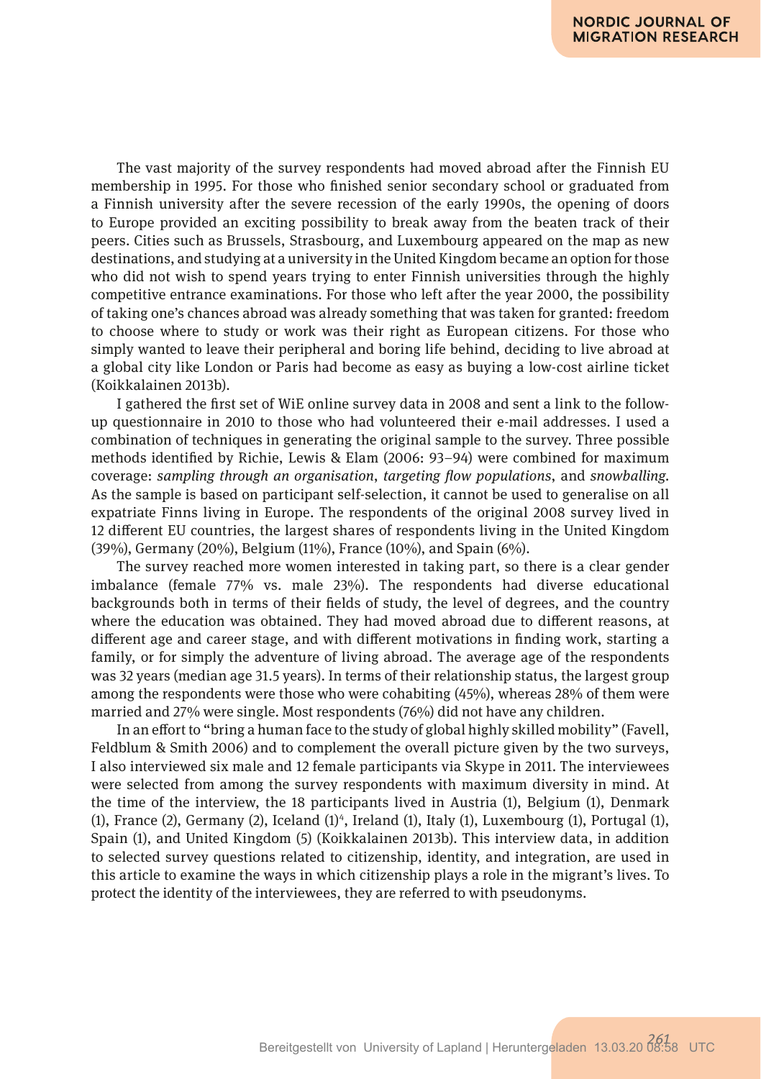The vast majority of the survey respondents had moved abroad after the Finnish EU membership in 1995. For those who fnished senior secondary school or graduated from a Finnish university after the severe recession of the early 1990s, the opening of doors to Europe provided an exciting possibility to break away from the beaten track of their peers. Cities such as Brussels, Strasbourg, and Luxembourg appeared on the map as new destinations, and studying at a university in the United Kingdom became an option for those who did not wish to spend years trying to enter Finnish universities through the highly competitive entrance examinations. For those who left after the year 2000, the possibility of taking one's chances abroad was already something that was taken for granted: freedom to choose where to study or work was their right as European citizens. For those who simply wanted to leave their peripheral and boring life behind, deciding to live abroad at a global city like London or Paris had become as easy as buying a low-cost airline ticket (Koikkalainen 2013b).

I gathered the frst set of WiE online survey data in 2008 and sent a link to the followup questionnaire in 2010 to those who had volunteered their e-mail addresses. I used a combination of techniques in generating the original sample to the survey. Three possible methods identifed by Richie, Lewis & Elam (2006: 93–94) were combined for maximum coverage: *sampling through an organisation*, *targeting fow populations*, and *snowballing.* As the sample is based on participant self-selection, it cannot be used to generalise on all expatriate Finns living in Europe. The respondents of the original 2008 survey lived in 12 diferent EU countries, the largest shares of respondents living in the United Kingdom (39%), Germany (20%), Belgium (11%), France (10%), and Spain (6%).

The survey reached more women interested in taking part, so there is a clear gender imbalance (female 77% vs. male 23%). The respondents had diverse educational backgrounds both in terms of their felds of study, the level of degrees, and the country where the education was obtained. They had moved abroad due to diferent reasons, at diferent age and career stage, and with diferent motivations in fnding work, starting a family, or for simply the adventure of living abroad. The average age of the respondents was 32 years (median age 31.5 years). In terms of their relationship status, the largest group among the respondents were those who were cohabiting (45%), whereas 28% of them were married and 27% were single. Most respondents (76%) did not have any children.

In an efort to "bring a human face to the study of global highly skilled mobility" (Favell, Feldblum & Smith 2006) and to complement the overall picture given by the two surveys, I also interviewed six male and 12 female participants via Skype in 2011. The interviewees were selected from among the survey respondents with maximum diversity in mind. At the time of the interview, the 18 participants lived in Austria (1), Belgium (1), Denmark  $(1)$ , France  $(2)$ , Germany  $(2)$ , Iceland  $(1)^4$ , Ireland  $(1)$ , Italy  $(1)$ , Luxembourg  $(1)$ , Portugal  $(1)$ , Spain (1), and United Kingdom (5) (Koikkalainen 2013b). This interview data, in addition to selected survey questions related to citizenship, identity, and integration, are used in this article to examine the ways in which citizenship plays a role in the migrant's lives. To protect the identity of the interviewees, they are referred to with pseudonyms.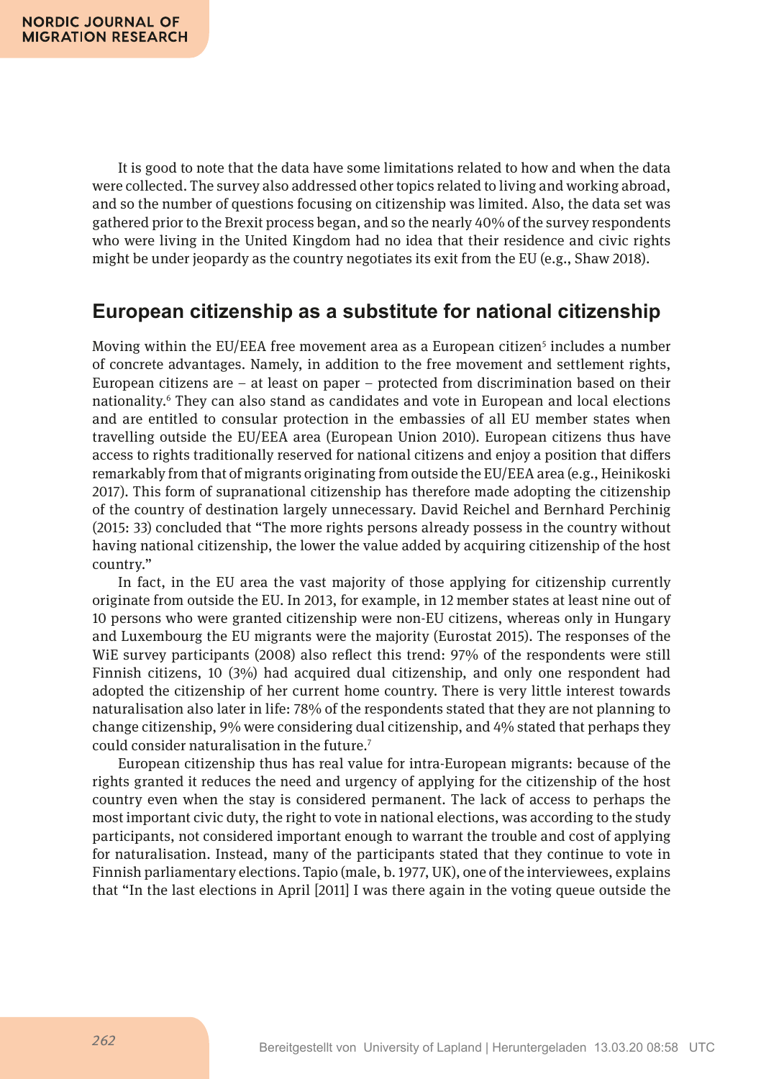It is good to note that the data have some limitations related to how and when the data were collected. The survey also addressed other topics related to living and working abroad, and so the number of questions focusing on citizenship was limited. Also, the data set was gathered prior to the Brexit process began, and so the nearly 40% of the survey respondents who were living in the United Kingdom had no idea that their residence and civic rights might be under jeopardy as the country negotiates its exit from the EU (e.g., Shaw 2018).

# **European citizenship as a substitute for national citizenship**

Moving within the EU/EEA free movement area as a European citizen<sup>5</sup> includes a number of concrete advantages. Namely, in addition to the free movement and settlement rights, European citizens are  $-$  at least on paper  $-$  protected from discrimination based on their nationality.6 They can also stand as candidates and vote in European and local elections and are entitled to consular protection in the embassies of all EU member states when travelling outside the EU/EEA area (European Union 2010). European citizens thus have access to rights traditionally reserved for national citizens and enjoy a position that difers remarkably from that of migrants originating from outside the EU/EEA area (e.g., Heinikoski 2017). This form of supranational citizenship has therefore made adopting the citizenship of the country of destination largely unnecessary. David Reichel and Bernhard Perchinig (2015: 33) concluded that "The more rights persons already possess in the country without having national citizenship, the lower the value added by acquiring citizenship of the host country."

In fact, in the EU area the vast majority of those applying for citizenship currently originate from outside the EU. In 2013, for example, in 12 member states at least nine out of 10 persons who were granted citizenship were non-EU citizens, whereas only in Hungary and Luxembourg the EU migrants were the majority (Eurostat 2015). The responses of the WiE survey participants (2008) also refect this trend: 97% of the respondents were still Finnish citizens, 10 (3%) had acquired dual citizenship, and only one respondent had adopted the citizenship of her current home country. There is very little interest towards naturalisation also later in life: 78% of the respondents stated that they are not planning to change citizenship, 9% were considering dual citizenship, and 4% stated that perhaps they could consider naturalisation in the future.7

European citizenship thus has real value for intra-European migrants: because of the rights granted it reduces the need and urgency of applying for the citizenship of the host country even when the stay is considered permanent. The lack of access to perhaps the most important civic duty, the right to vote in national elections, was according to the study participants, not considered important enough to warrant the trouble and cost of applying for naturalisation. Instead, many of the participants stated that they continue to vote in Finnish parliamentary elections. Tapio (male, b. 1977, UK), one of the interviewees, explains that "In the last elections in April [2011] I was there again in the voting queue outside the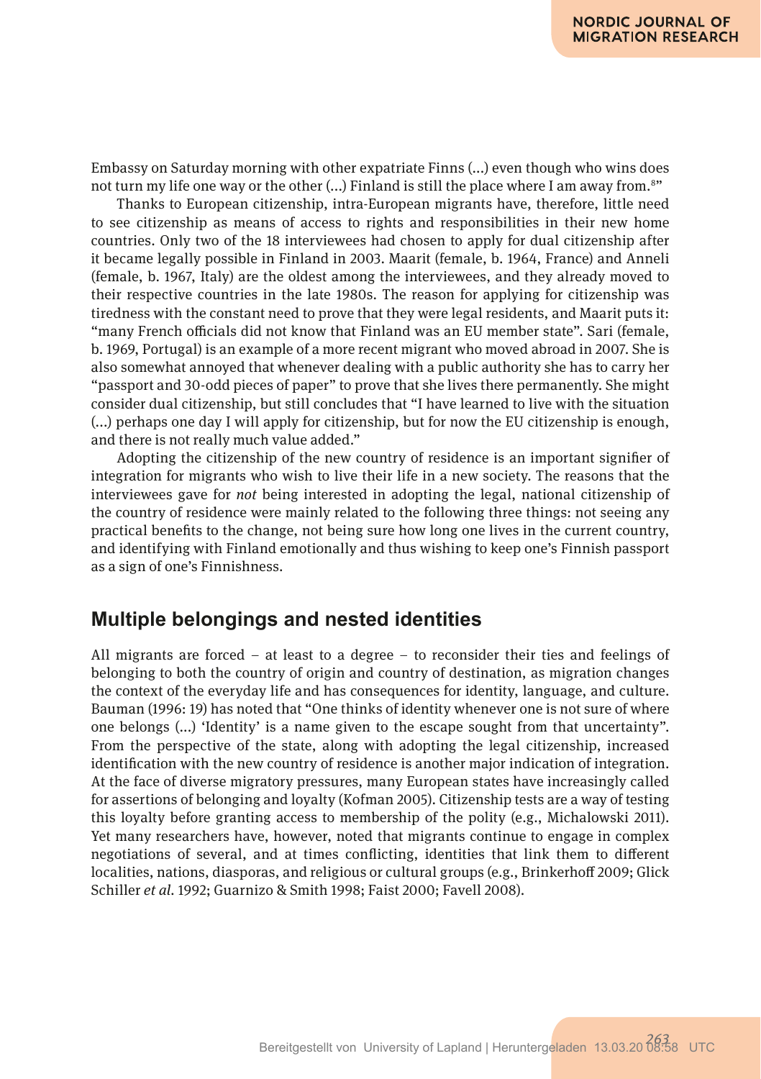Embassy on Saturday morning with other expatriate Finns (...) even though who wins does not turn my life one way or the other (...) Finland is still the place where I am away from.8 "

Thanks to European citizenship, intra-European migrants have, therefore, little need to see citizenship as means of access to rights and responsibilities in their new home countries. Only two of the 18 interviewees had chosen to apply for dual citizenship after it became legally possible in Finland in 2003. Maarit (female, b. 1964, France) and Anneli (female, b. 1967, Italy) are the oldest among the interviewees, and they already moved to their respective countries in the late 1980s. The reason for applying for citizenship was tiredness with the constant need to prove that they were legal residents, and Maarit puts it: "many French officials did not know that Finland was an EU member state". Sari (female, b. 1969, Portugal) is an example of a more recent migrant who moved abroad in 2007. She is also somewhat annoyed that whenever dealing with a public authority she has to carry her "passport and 30-odd pieces of paper" to prove that she lives there permanently. She might consider dual citizenship, but still concludes that "I have learned to live with the situation (...) perhaps one day I will apply for citizenship, but for now the EU citizenship is enough, and there is not really much value added."

Adopting the citizenship of the new country of residence is an important signifer of integration for migrants who wish to live their life in a new society. The reasons that the interviewees gave for *not* being interested in adopting the legal, national citizenship of the country of residence were mainly related to the following three things: not seeing any practical benefts to the change, not being sure how long one lives in the current country, and identifying with Finland emotionally and thus wishing to keep one's Finnish passport as a sign of one's Finnishness.

## **Multiple belongings and nested identities**

All migrants are forced – at least to a degree – to reconsider their ties and feelings of belonging to both the country of origin and country of destination, as migration changes the context of the everyday life and has consequences for identity, language, and culture. Bauman (1996: 19) has noted that "One thinks of identity whenever one is not sure of where one belongs (...) 'Identity' is a name given to the escape sought from that uncertainty". From the perspective of the state, along with adopting the legal citizenship, increased identifcation with the new country of residence is another major indication of integration. At the face of diverse migratory pressures, many European states have increasingly called for assertions of belonging and loyalty (Kofman 2005). Citizenship tests are a way of testing this loyalty before granting access to membership of the polity (e.g., Michalowski 2011). Yet many researchers have, however, noted that migrants continue to engage in complex negotiations of several, and at times conficting, identities that link them to diferent localities, nations, diasporas, and religious or cultural groups (e.g., Brinkerhof 2009; Glick Schiller *et al.* 1992; Guarnizo & Smith 1998; Faist 2000; Favell 2008).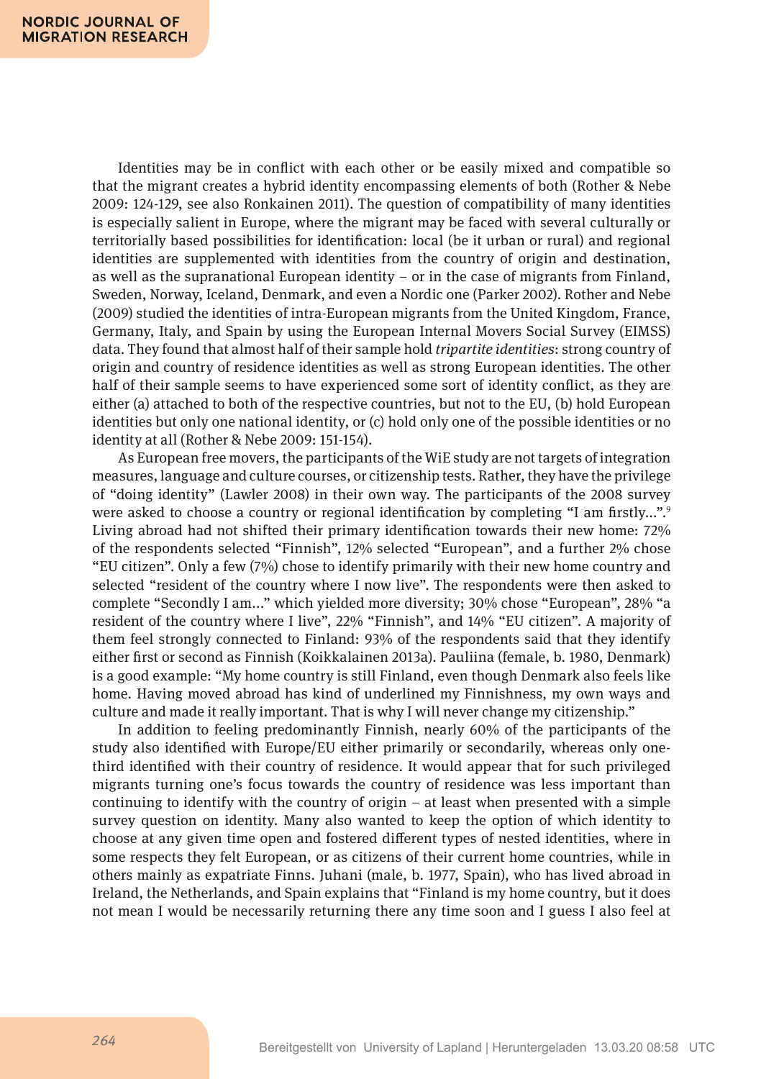Identities may be in confict with each other or be easily mixed and compatible so that the migrant creates a hybrid identity encompassing elements of both (Rother & Nebe 2009: 124-129, see also Ronkainen 2011). The question of compatibility of many identities is especially salient in Europe, where the migrant may be faced with several culturally or territorially based possibilities for identifcation: local (be it urban or rural) and regional identities are supplemented with identities from the country of origin and destination, as well as the supranational European identity  $-$  or in the case of migrants from Finland, Sweden, Norway, Iceland, Denmark, and even a Nordic one (Parker 2002). Rother and Nebe (2009) studied the identities of intra-European migrants from the United Kingdom, France, Germany, Italy, and Spain by using the European Internal Movers Social Survey (EIMSS) data. They found that almost half of their sample hold *tripartite identities*: strong country of origin and country of residence identities as well as strong European identities. The other half of their sample seems to have experienced some sort of identity confict, as they are either (a) attached to both of the respective countries, but not to the EU, (b) hold European identities but only one national identity, or (c) hold only one of the possible identities or no identity at all (Rother & Nebe 2009: 151-154).

As European free movers, the participants of the WiE study are not targets of integration measures, language and culture courses, or citizenship tests. Rather, they have the privilege of "doing identity" (Lawler 2008) in their own way. The participants of the 2008 survey were asked to choose a country or regional identification by completing "I am firstly...".<sup>9</sup> Living abroad had not shifted their primary identifcation towards their new home: 72% of the respondents selected "Finnish", 12% selected "European", and a further 2% chose "EU citizen". Only a few (7%) chose to identify primarily with their new home country and selected "resident of the country where I now live". The respondents were then asked to complete "Secondly I am..." which yielded more diversity; 30% chose "European", 28% "a resident of the country where I live", 22% "Finnish", and 14% "EU citizen". A majority of them feel strongly connected to Finland: 93% of the respondents said that they identify either frst or second as Finnish (Koikkalainen 2013a). Pauliina (female, b. 1980, Denmark) is a good example: "My home country is still Finland, even though Denmark also feels like home. Having moved abroad has kind of underlined my Finnishness, my own ways and culture and made it really important. That is why I will never change my citizenship."

In addition to feeling predominantly Finnish, nearly 60% of the participants of the study also identifed with Europe/EU either primarily or secondarily, whereas only onethird identifed with their country of residence. It would appear that for such privileged migrants turning one's focus towards the country of residence was less important than continuing to identify with the country of origin – at least when presented with a simple survey question on identity. Many also wanted to keep the option of which identity to choose at any given time open and fostered diferent types of nested identities, where in some respects they felt European, or as citizens of their current home countries, while in others mainly as expatriate Finns. Juhani (male, b. 1977, Spain), who has lived abroad in Ireland, the Netherlands, and Spain explains that "Finland is my home country, but it does not mean I would be necessarily returning there any time soon and I guess I also feel at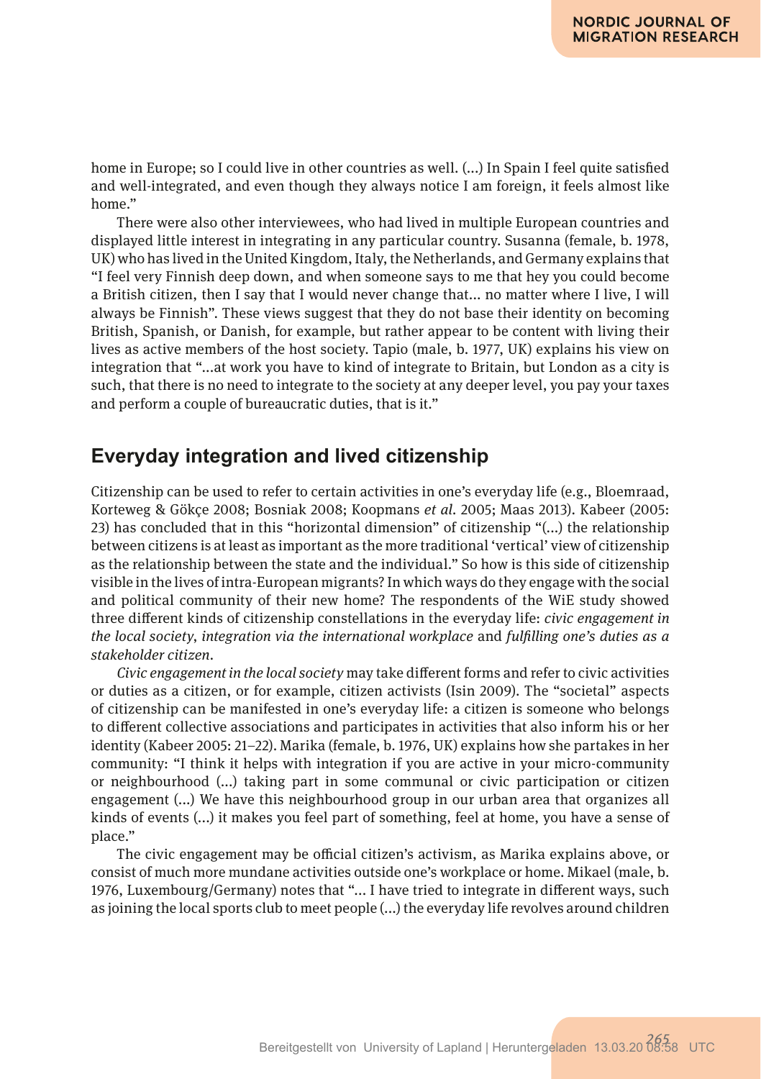home in Europe; so I could live in other countries as well. (...) In Spain I feel quite satisfed and well-integrated, and even though they always notice I am foreign, it feels almost like home."

There were also other interviewees, who had lived in multiple European countries and displayed little interest in integrating in any particular country. Susanna (female, b. 1978, UK) who has lived in the United Kingdom, Italy, the Netherlands, and Germany explains that "I feel very Finnish deep down, and when someone says to me that hey you could become a British citizen, then I say that I would never change that... no matter where I live, I will always be Finnish". These views suggest that they do not base their identity on becoming British, Spanish, or Danish, for example, but rather appear to be content with living their lives as active members of the host society. Tapio (male, b. 1977, UK) explains his view on integration that "...at work you have to kind of integrate to Britain, but London as a city is such, that there is no need to integrate to the society at any deeper level, you pay your taxes and perform a couple of bureaucratic duties, that is it."

# **Everyday integration and lived citizenship**

Citizenship can be used to refer to certain activities in one's everyday life (e.g., Bloemraad, Korteweg & Gökçe 2008; Bosniak 2008; Koopmans *et al.* 2005; Maas 2013). Kabeer (2005: 23) has concluded that in this "horizontal dimension" of citizenship "(...) the relationship between citizens is at least as important as the more traditional 'vertical' view of citizenship as the relationship between the state and the individual." So how is this side of citizenship visible in the lives of intra-European migrants? In which ways do they engage with the social and political community of their new home? The respondents of the WiE study showed three diferent kinds of citizenship constellations in the everyday life: *civic engagement in the local society*, *integration via the international workplace* and *fulflling one's duties as a stakeholder citizen.*

*Civic engagement in the local society* may take diferent forms and refer to civic activities or duties as a citizen, or for example, citizen activists (Isin 2009). The "societal" aspects of citizenship can be manifested in one's everyday life: a citizen is someone who belongs to diferent collective associations and participates in activities that also inform his or her identity (Kabeer 2005: 21–22). Marika (female, b. 1976, UK) explains how she partakes in her community: "I think it helps with integration if you are active in your micro-community or neighbourhood (...) taking part in some communal or civic participation or citizen engagement (...) We have this neighbourhood group in our urban area that organizes all kinds of events (...) it makes you feel part of something, feel at home, you have a sense of place."

The civic engagement may be official citizen's activism, as Marika explains above, or consist of much more mundane activities outside one's workplace or home. Mikael (male, b. 1976, Luxembourg/Germany) notes that "... I have tried to integrate in diferent ways, such as joining the local sports club to meet people (...) the everyday life revolves around children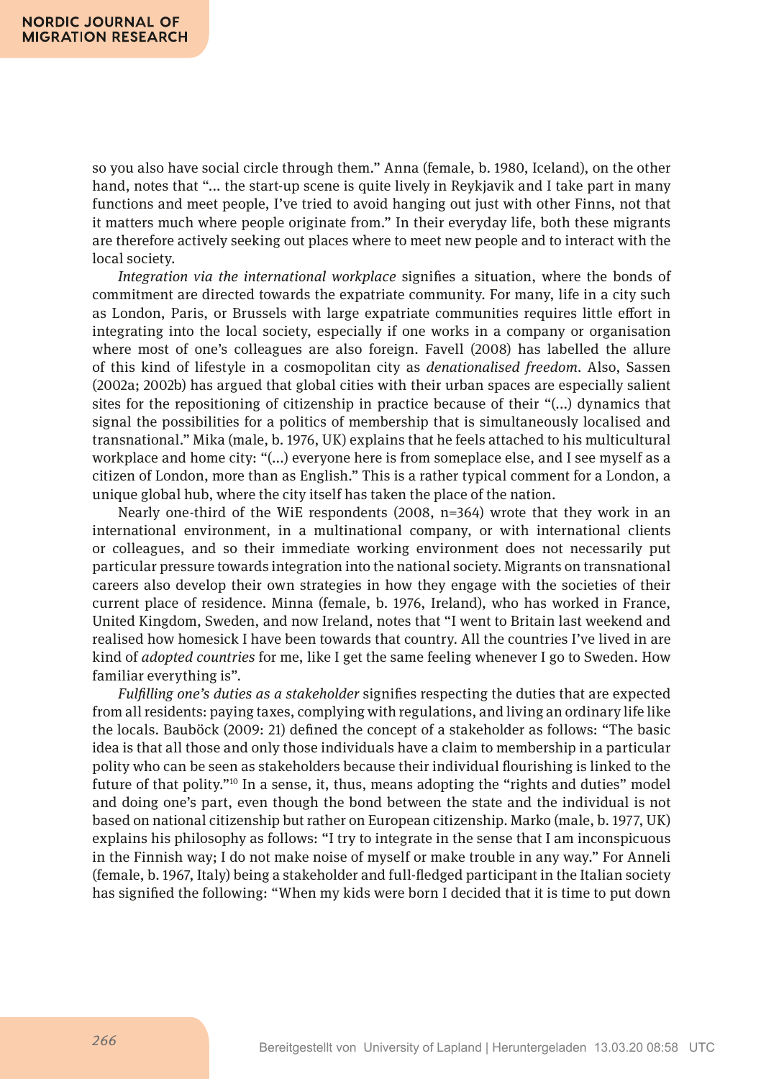so you also have social circle through them." Anna (female, b. 1980, Iceland), on the other hand, notes that "... the start-up scene is quite lively in Reykjavik and I take part in many functions and meet people, I've tried to avoid hanging out just with other Finns, not that it matters much where people originate from." In their everyday life, both these migrants are therefore actively seeking out places where to meet new people and to interact with the local society.

*Integration via the international workplace* signifes a situation, where the bonds of commitment are directed towards the expatriate community. For many, life in a city such as London, Paris, or Brussels with large expatriate communities requires little efort in integrating into the local society, especially if one works in a company or organisation where most of one's colleagues are also foreign. Favell (2008) has labelled the allure of this kind of lifestyle in a cosmopolitan city as *denationalised freedom.* Also, Sassen (2002a; 2002b) has argued that global cities with their urban spaces are especially salient sites for the repositioning of citizenship in practice because of their "(...) dynamics that signal the possibilities for a politics of membership that is simultaneously localised and transnational." Mika (male, b. 1976, UK) explains that he feels attached to his multicultural workplace and home city: "(...) everyone here is from someplace else, and I see myself as a citizen of London, more than as English." This is a rather typical comment for a London, a unique global hub, where the city itself has taken the place of the nation.

Nearly one-third of the WiE respondents  $(2008, n=364)$  wrote that they work in an international environment, in a multinational company, or with international clients or colleagues, and so their immediate working environment does not necessarily put particular pressure towards integration into the national society. Migrants on transnational careers also develop their own strategies in how they engage with the societies of their current place of residence. Minna (female, b. 1976, Ireland), who has worked in France, United Kingdom, Sweden, and now Ireland, notes that "I went to Britain last weekend and realised how homesick I have been towards that country. All the countries I've lived in are kind of *adopted countries* for me, like I get the same feeling whenever I go to Sweden. How familiar everything is".

*Fulflling one's duties as a stakeholder* signifes respecting the duties that are expected from all residents: paying taxes, complying with regulations, and living an ordinary life like the locals. Bauböck (2009: 21) defned the concept of a stakeholder as follows: "The basic idea is that all those and only those individuals have a claim to membership in a particular polity who can be seen as stakeholders because their individual fourishing is linked to the future of that polity."<sup>10</sup> In a sense, it, thus, means adopting the "rights and duties" model and doing one's part, even though the bond between the state and the individual is not based on national citizenship but rather on European citizenship. Marko (male, b. 1977, UK) explains his philosophy as follows: "I try to integrate in the sense that I am inconspicuous in the Finnish way; I do not make noise of myself or make trouble in any way." For Anneli (female, b. 1967, Italy) being a stakeholder and full-fedged participant in the Italian society has signifed the following: "When my kids were born I decided that it is time to put down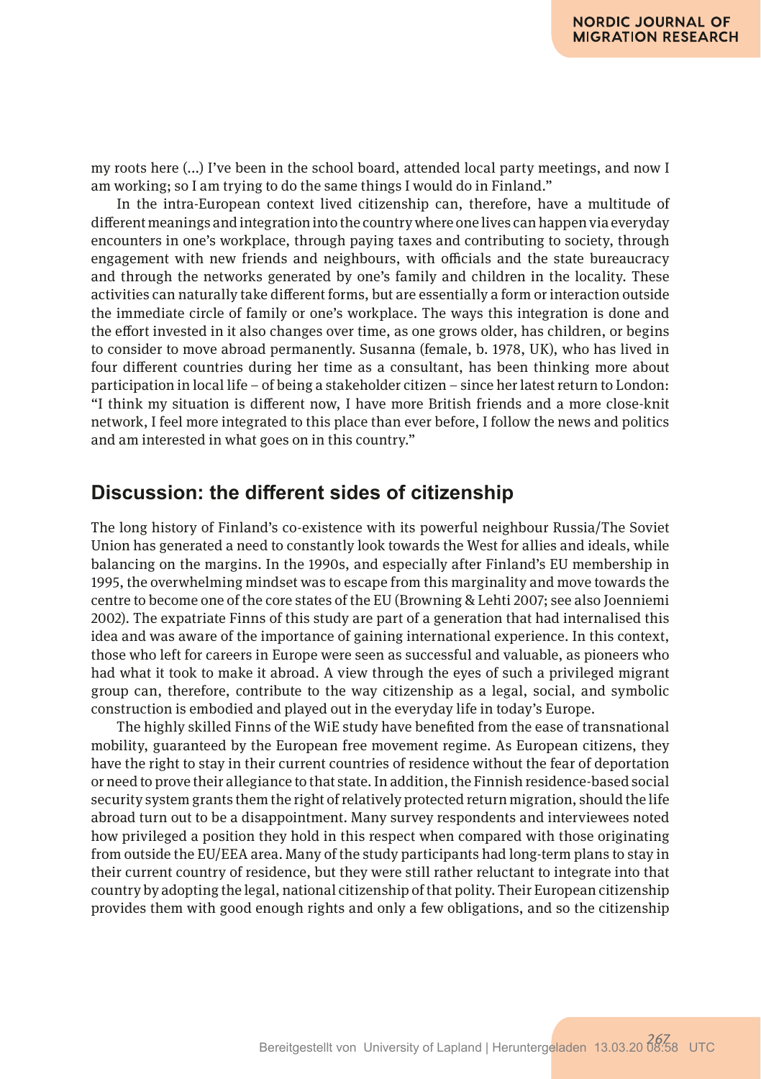my roots here (...) I've been in the school board, attended local party meetings, and now I am working; so I am trying to do the same things I would do in Finland."

In the intra-European context lived citizenship can, therefore, have a multitude of diferent meanings and integration into the country where one lives can happen via everyday encounters in one's workplace, through paying taxes and contributing to society, through engagement with new friends and neighbours, with officials and the state bureaucracy and through the networks generated by one's family and children in the locality. These activities can naturally take diferent forms, but are essentially a form or interaction outside the immediate circle of family or one's workplace. The ways this integration is done and the efort invested in it also changes over time, as one grows older, has children, or begins to consider to move abroad permanently. Susanna (female, b. 1978, UK), who has lived in four diferent countries during her time as a consultant, has been thinking more about participation in local life – of being a stakeholder citizen – since her latest return to London: "I think my situation is diferent now, I have more British friends and a more close-knit network, I feel more integrated to this place than ever before, I follow the news and politics and am interested in what goes on in this country."

## **Discussion: the diferent sides of citizenship**

The long history of Finland's co-existence with its powerful neighbour Russia/The Soviet Union has generated a need to constantly look towards the West for allies and ideals, while balancing on the margins. In the 1990s, and especially after Finland's EU membership in 1995, the overwhelming mindset was to escape from this marginality and move towards the centre to become one of the core states of the EU (Browning & Lehti 2007; see also Joenniemi 2002). The expatriate Finns of this study are part of a generation that had internalised this idea and was aware of the importance of gaining international experience. In this context, those who left for careers in Europe were seen as successful and valuable, as pioneers who had what it took to make it abroad. A view through the eyes of such a privileged migrant group can, therefore, contribute to the way citizenship as a legal, social, and symbolic construction is embodied and played out in the everyday life in today's Europe.

The highly skilled Finns of the WiE study have benefted from the ease of transnational mobility, guaranteed by the European free movement regime. As European citizens, they have the right to stay in their current countries of residence without the fear of deportation or need to prove their allegiance to that state. In addition, the Finnish residence-based social security system grants them the right of relatively protected return migration, should the life abroad turn out to be a disappointment. Many survey respondents and interviewees noted how privileged a position they hold in this respect when compared with those originating from outside the EU/EEA area. Many of the study participants had long-term plans to stay in their current country of residence, but they were still rather reluctant to integrate into that country by adopting the legal, national citizenship of that polity. Their European citizenship provides them with good enough rights and only a few obligations, and so the citizenship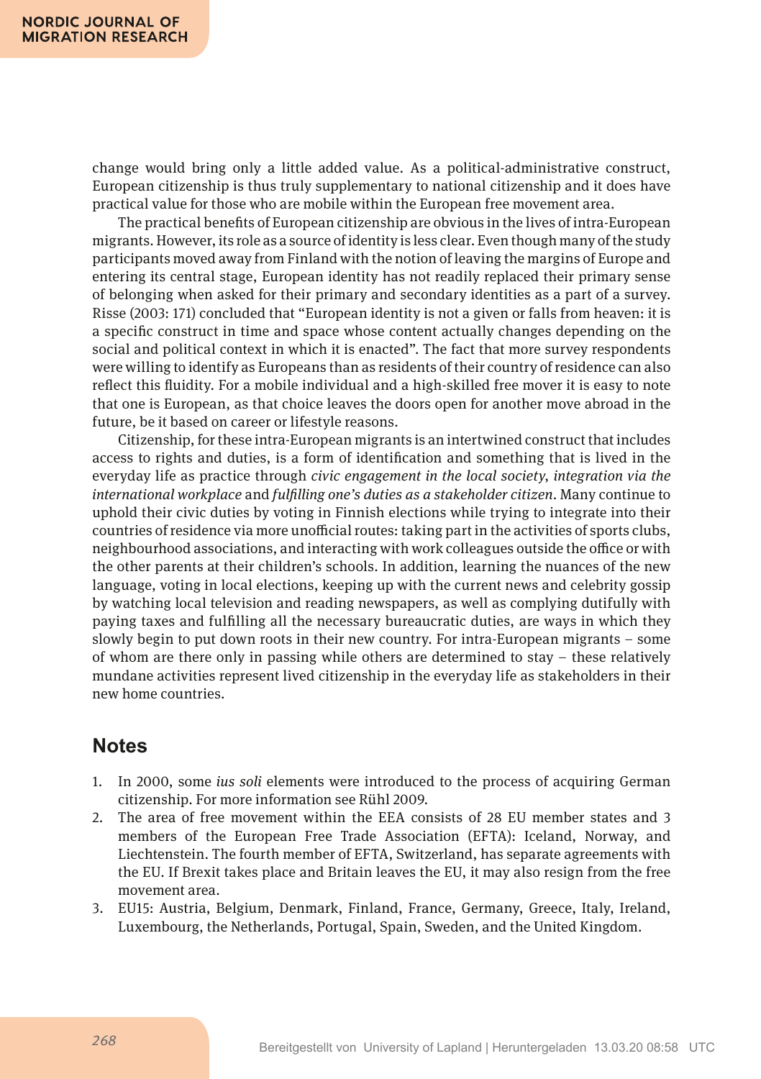change would bring only a little added value. As a political-administrative construct, European citizenship is thus truly supplementary to national citizenship and it does have practical value for those who are mobile within the European free movement area.

The practical benefts of European citizenship are obvious in the lives of intra-European migrants. However, its role as a source of identity is less clear. Even though many of the study participants moved away from Finland with the notion of leaving the margins of Europe and entering its central stage, European identity has not readily replaced their primary sense of belonging when asked for their primary and secondary identities as a part of a survey. Risse (2003: 171) concluded that "European identity is not a given or falls from heaven: it is a specifc construct in time and space whose content actually changes depending on the social and political context in which it is enacted". The fact that more survey respondents were willing to identify as Europeans than as residents of their country of residence can also refect this fuidity. For a mobile individual and a high-skilled free mover it is easy to note that one is European, as that choice leaves the doors open for another move abroad in the future, be it based on career or lifestyle reasons.

Citizenship, for these intra-European migrants is an intertwined construct that includes access to rights and duties, is a form of identifcation and something that is lived in the everyday life as practice through *civic engagement in the local society*, *integration via the international workplace* and *fulflling one's duties as a stakeholder citizen*. Many continue to uphold their civic duties by voting in Finnish elections while trying to integrate into their countries of residence via more unofficial routes: taking part in the activities of sports clubs, neighbourhood associations, and interacting with work colleagues outside the office or with the other parents at their children's schools. In addition, learning the nuances of the new language, voting in local elections, keeping up with the current news and celebrity gossip by watching local television and reading newspapers, as well as complying dutifully with paying taxes and fulflling all the necessary bureaucratic duties, are ways in which they slowly begin to put down roots in their new country. For intra-European migrants – some of whom are there only in passing while others are determined to stay – these relatively mundane activities represent lived citizenship in the everyday life as stakeholders in their new home countries.

# **Notes**

- 1. In 2000, some *ius soli* elements were introduced to the process of acquiring German citizenship. For more information see Rühl 2009*.*
- 2. The area of free movement within the EEA consists of 28 EU member states and 3 members of the European Free Trade Association (EFTA): Iceland, Norway, and Liechtenstein. The fourth member of EFTA, Switzerland, has separate agreements with the EU. If Brexit takes place and Britain leaves the EU, it may also resign from the free movement area.
- 3. EU15: Austria, Belgium, Denmark, Finland, France, Germany, Greece, Italy, Ireland, Luxembourg, the Netherlands, Portugal, Spain, Sweden, and the United Kingdom.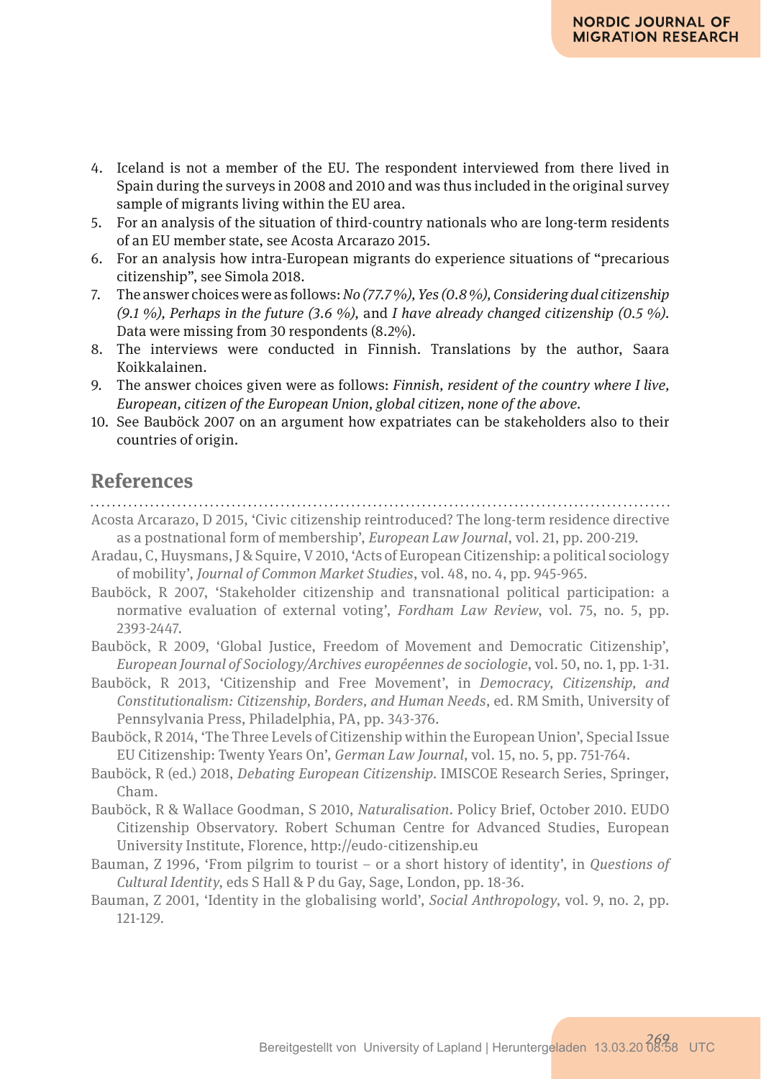- 4. Iceland is not a member of the EU. The respondent interviewed from there lived in Spain during the surveys in 2008 and 2010 and was thus included in the original survey sample of migrants living within the EU area.
- 5. For an analysis of the situation of third-country nationals who are long-term residents of an EU member state, see Acosta Arcarazo 2015.
- 6. For an analysis how intra-European migrants do experience situations of "precarious citizenship", see Simola 2018.
- 7. The answer choices were as follows: *No (77.7 %), Yes (0.8 %), Considering dual citizenship (9.1 %), Perhaps in the future (3.6 %),* and *I have already changed citizenship (0.5 %).* Data were missing from 30 respondents (8.2%).
- 8. The interviews were conducted in Finnish. Translations by the author, Saara Koikkalainen.
- 9. The answer choices given were as follows: *Finnish, resident of the country where I live, European, citizen of the European Union, global citizen, none of the above.*
- 10. See Bauböck 2007 on an argument how expatriates can be stakeholders also to their countries of origin.

### **References**

- Acosta Arcarazo, D 2015, 'Civic citizenship reintroduced? The long-term residence directive as a postnational form of membership', *European Law Journal*, vol. 21, pp. 200-219.
- Aradau, C, Huysmans, J & Squire, V 2010, 'Acts of European Citizenship: a political sociology of mobility', *Journal of Common Market Studies*, vol. 48, no. 4, pp. 945-965.
- Bauböck, R 2007, 'Stakeholder citizenship and transnational political participation: a normative evaluation of external voting', *Fordham Law Review*, vol. 75, no. 5, pp. 2393-2447.
- Bauböck, R 2009, 'Global Justice, Freedom of Movement and Democratic Citizenship', *European Journal of Sociology/Archives européennes de sociologie*, vol. 50, no. 1, pp. 1-31.
- Bauböck, R 2013, 'Citizenship and Free Movement', in *Democracy, Citizenship, and Constitutionalism: Citizenship, Borders, and Human Needs*, ed. RM Smith, University of Pennsylvania Press, Philadelphia, PA, pp. 343-376.
- Bauböck, R 2014, 'The Three Levels of Citizenship within the European Union', Special Issue EU Citizenship: Twenty Years On', *German Law Journal*, vol. 15, no. 5, pp. 751-764.
- Bauböck, R (ed.) 2018, *Debating European Citizenship*. IMISCOE Research Series, Springer, Cham.
- Bauböck, R & Wallace Goodman, S 2010, *Naturalisation*. Policy Brief, October 2010. EUDO Citizenship Observatory. Robert Schuman Centre for Advanced Studies, European University Institute, Florence, http://eudo-citizenship.eu
- Bauman, Z 1996, 'From pilgrim to tourist or a short history of identity', in *Questions of Cultural Identity*, eds S Hall & P du Gay, Sage, London, pp. 18-36.
- Bauman, Z 2001, 'Identity in the globalising world', *Social Anthropology*, vol. 9, no. 2, pp. 121-129.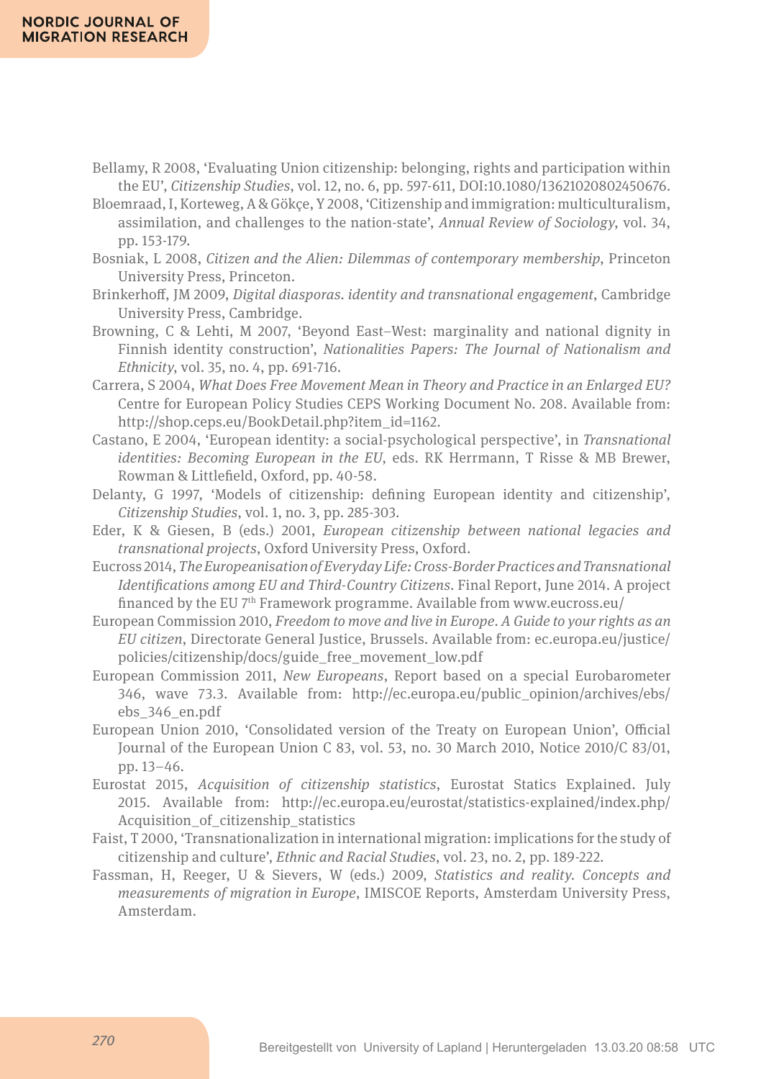- Bellamy, R 2008, 'Evaluating Union citizenship: belonging, rights and participation within the EU', *Citizenship Studies*, vol. 12, no. 6, pp. 597-611, DOI:10.1080/13621020802450676.
- Bloemraad, I, Korteweg, A & Gökçe, Y 2008, 'Citizenship and immigration: multiculturalism, assimilation, and challenges to the nation-state', *Annual Review of Sociology*, vol. 34, pp. 153-179.
- Bosniak, L 2008, *Citizen and the Alien: Dilemmas of contemporary membership*, Princeton University Press, Princeton.
- Brinkerhof, JM 2009, *Digital diasporas. identity and transnational engagement*, Cambridge University Press, Cambridge.
- Browning, C & Lehti, M 2007, 'Beyond East–West: marginality and national dignity in Finnish identity construction', *Nationalities Papers: The Journal of Nationalism and Ethnicity*, vol. 35, no. 4, pp. 691-716.
- Carrera, S 2004, *What Does Free Movement Mean in Theory and Practice in an Enlarged EU?* Centre for European Policy Studies CEPS Working Document No. 208. Available from: http://shop.ceps.eu/BookDetail.php?item\_id=1162.
- Castano, E 2004, 'European identity: a social-psychological perspective', in *Transnational identities: Becoming European in the EU*, eds. RK Herrmann, T Risse & MB Brewer, Rowman & Littlefeld, Oxford, pp. 40-58.
- Delanty, G 1997, 'Models of citizenship: defning European identity and citizenship', *Citizenship Studies*, vol. 1, no. 3, pp. 285-303.
- Eder, K & Giesen, B (eds.) 2001, *European citizenship between national legacies and transnational projects*, Oxford University Press, Oxford.
- Eucross 2014, *The Europeanisation of Everyday Life: Cross-Border Practices and Transnational Identifcations among EU and Third-Country Citizens*. Final Report, June 2014. A project financed by the EU 7<sup>th</sup> Framework programme. Available from www.eucross.eu/
- European Commission 2010, *Freedom to move and live in Europe. A Guide to your rights as an EU citizen*, Directorate General Justice, Brussels. Available from: ec.europa.eu/justice/ policies/citizenship/docs/guide\_free\_movement\_low.pdf
- European Commission 2011, *New Europeans*, Report based on a special Eurobarometer 346, wave 73.3. Available from: http://ec.europa.eu/public\_opinion/archives/ebs/ ebs\_346\_en.pdf
- European Union 2010, 'Consolidated version of the Treaty on European Union', Official Journal of the European Union C 83, vol. 53, no. 30 March 2010, Notice 2010/C 83/01, pp. 13–46.
- Eurostat 2015, *Acquisition of citizenship statistics*, Eurostat Statics Explained. July 2015. Available from: http://ec.europa.eu/eurostat/statistics-explained/index.php/ Acquisition\_of\_citizenship\_statistics
- Faist, T 2000, 'Transnationalization in international migration: implications for the study of citizenship and culture', *Ethnic and Racial Studies*, vol. 23, no. 2, pp. 189-222.
- Fassman, H, Reeger, U & Sievers, W (eds.) 2009, *Statistics and reality. Concepts and measurements of migration in Europe*, IMISCOE Reports, Amsterdam University Press, Amsterdam.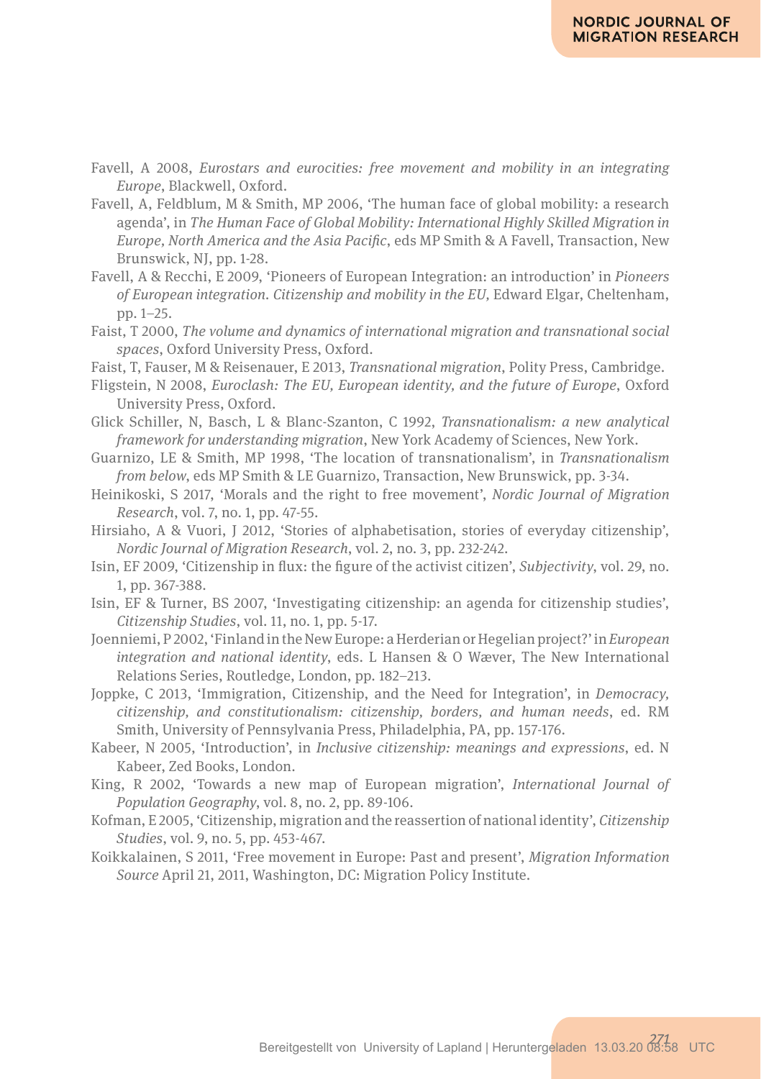- Favell, A 2008, *Eurostars and eurocities: free movement and mobility in an integrating Europe*, Blackwell, Oxford.
- Favell, A, Feldblum, M & Smith, MP 2006, 'The human face of global mobility: a research agenda', in *The Human Face of Global Mobility: International Highly Skilled Migration in Europe, North America and the Asia Pacifc*, eds MP Smith & A Favell, Transaction, New Brunswick, NJ, pp. 1-28.
- Favell, A & Recchi, E 2009, 'Pioneers of European Integration: an introduction' in *Pioneers of European integration. Citizenship and mobility in the EU,* Edward Elgar, Cheltenham, pp. 1–25.
- Faist, T 2000, *The volume and dynamics of international migration and transnational social spaces*, Oxford University Press, Oxford.
- Faist, T, Fauser, M & Reisenauer, E 2013, *Transnational migration*, Polity Press, Cambridge.
- Fligstein, N 2008, *Euroclash: The EU, European identity, and the future of Europe*, Oxford University Press, Oxford.
- Glick Schiller, N, Basch, L & Blanc-Szanton, C 1992, *Transnationalism: a new analytical framework for understanding migration*, New York Academy of Sciences, New York.
- Guarnizo, LE & Smith, MP 1998, 'The location of transnationalism', in *Transnationalism from below*, eds MP Smith & LE Guarnizo, Transaction, New Brunswick, pp. 3-34.
- Heinikoski, S 2017, 'Morals and the right to free movement', *Nordic Journal of Migration Research*, vol. 7, no. 1, pp. 47-55.
- Hirsiaho, A & Vuori, J 2012, 'Stories of alphabetisation, stories of everyday citizenship', *Nordic Journal of Migration Research*, vol. 2, no. 3, pp. 232-242.
- Isin, EF 2009, 'Citizenship in fux: the fgure of the activist citizen', *Subjectivity*, vol. 29, no. 1, pp. 367-388.
- Isin, EF & Turner, BS 2007, 'Investigating citizenship: an agenda for citizenship studies', *Citizenship Studies*, vol. 11, no. 1, pp. 5-17.
- Joenniemi, P 2002, 'Finland in the New Europe: a Herderian or Hegelian project?' in *European integration and national identity*, eds. L Hansen & O Wæver, The New International Relations Series, Routledge, London, pp. 182–213.
- Joppke, C 2013, 'Immigration, Citizenship, and the Need for Integration', in *Democracy, citizenship, and constitutionalism: citizenship, borders, and human needs*, ed. RM Smith, University of Pennsylvania Press, Philadelphia, PA, pp. 157-176.
- Kabeer, N 2005, 'Introduction', in *Inclusive citizenship: meanings and expressions*, ed. N Kabeer, Zed Books, London.
- King, R 2002, 'Towards a new map of European migration', *International Journal of Population Geography*, vol. 8, no. 2, pp. 89-106.
- Kofman, E 2005, 'Citizenship, migration and the reassertion of national identity', *Citizenship Studies*, vol. 9, no. 5, pp. 453-467.
- Koikkalainen, S 2011, 'Free movement in Europe: Past and present', *Migration Information Source* April 21, 2011, Washington, DC: Migration Policy Institute.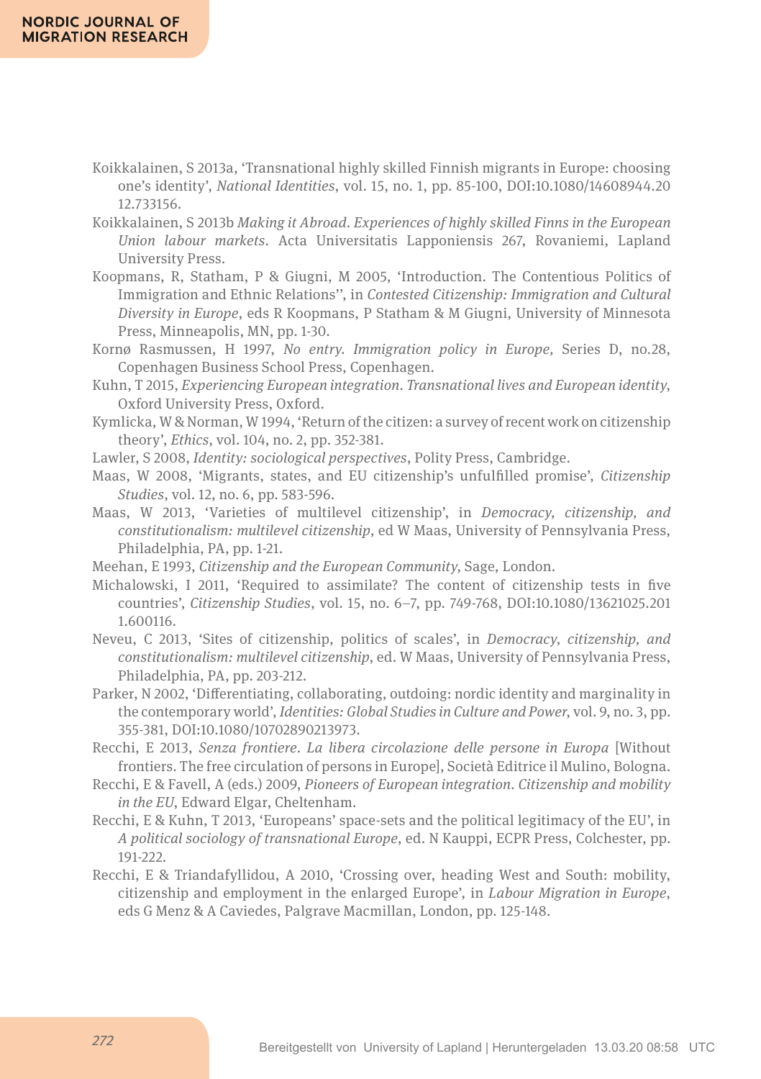- Koikkalainen, S 2013a, 'Transnational highly skilled Finnish migrants in Europe: choosing one's identity', *National Identities*, vol. 15, no. 1, pp. 85-100, DOI:10.1080/14608944.20 12.733156.
- Koikkalainen, S 2013b *Making it Abroad. Experiences of highly skilled Finns in the European Union labour markets*. Acta Universitatis Lapponiensis 267, Rovaniemi, Lapland University Press.
- Koopmans, R, Statham, P & Giugni, M 2005, 'Introduction. The Contentious Politics of Immigration and Ethnic Relations'', in *Contested Citizenship: Immigration and Cultural Diversity in Europe*, eds R Koopmans, P Statham & M Giugni, University of Minnesota Press, Minneapolis, MN, pp. 1-30.
- Kornø Rasmussen, H 1997, *No entry. Immigration policy in Europe,* Series D, no.28, Copenhagen Business School Press, Copenhagen.
- Kuhn, T 2015, *Experiencing European integration. Transnational lives and European identity*, Oxford University Press, Oxford.
- Kymlicka, W & Norman, W 1994, 'Return of the citizen: a survey of recent work on citizenship theory', *Ethics*, vol. 104, no. 2, pp. 352-381.

Lawler, S 2008, *Identity: sociological perspectives*, Polity Press, Cambridge.

- Maas, W 2008, 'Migrants, states, and EU citizenship's unfulflled promise', *Citizenship Studies*, vol. 12, no. 6, pp. 583-596.
- Maas, W 2013, 'Varieties of multilevel citizenship', in *Democracy, citizenship, and constitutionalism: multilevel citizenship*, ed W Maas, University of Pennsylvania Press, Philadelphia, PA, pp. 1-21.
- Meehan, E 1993, *Citizenship and the European Community*, Sage, London.
- Michalowski, I 2011, 'Required to assimilate? The content of citizenship tests in fve countries', *Citizenship Studies*, vol. 15, no. 6–7, pp. 749-768, DOI:10.1080/13621025.201 1.600116.
- Neveu, C 2013, 'Sites of citizenship, politics of scales', in *Democracy, citizenship, and constitutionalism: multilevel citizenship*, ed. W Maas, University of Pennsylvania Press, Philadelphia, PA, pp. 203-212.
- Parker, N 2002, 'Diferentiating, collaborating, outdoing: nordic identity and marginality in the contemporary world', *Identities: Global Studies in Culture and Power*, vol. 9, no. 3, pp. 355-381, DOI:10.1080/10702890213973.
- Recchi, E 2013, *Senza frontiere. La libera circolazione delle persone in Europa* [Without frontiers. The free circulation of persons in Europe], Società Editrice il Mulino, Bologna.
- Recchi, E & Favell, A (eds.) 2009, *Pioneers of European integration. Citizenship and mobility in the EU*, Edward Elgar, Cheltenham.
- Recchi, E & Kuhn, T 2013, 'Europeans' space-sets and the political legitimacy of the EU', in *A political sociology of transnational Europe*, ed. N Kauppi, ECPR Press, Colchester, pp. 191-222.
- Recchi, E & Triandafyllidou, A 2010, 'Crossing over, heading West and South: mobility, citizenship and employment in the enlarged Europe', in *Labour Migration in Europe*, eds G Menz & A Caviedes, Palgrave Macmillan, London, pp. 125-148.